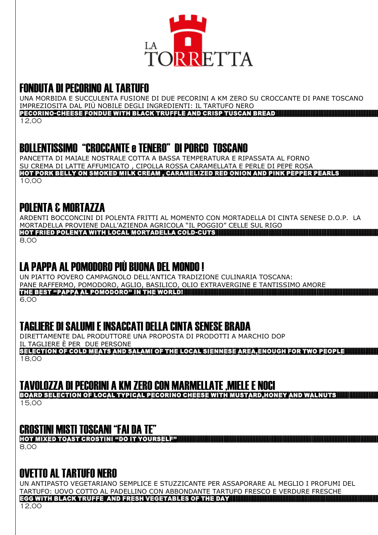

#### FONDUTA DI PECORINO AL TARTUFO

UNA MORBIDA E SUCCULENTA FUSIONE DI DUE PECORINI A KM ZERO SU CROCCANTE DI PANE TOSCANO IMPREZIOSITA DAL PIÙ NOBILE DEGLI INGREDIENTI: IL TARTUFO NERO PECORINO-CHEESE FONDUE WITH BLACK TRUFFLE AND CRISP TUSCAN BREAD

12,00

#### BOLLENTISSIMO "CROCCANTE e TENERO" DI PORCO TOSCANO

PANCETTA DI MAIALE NOSTRALE COTTA A BASSA TEMPERATURA E RIPASSATA AL FORNO SU CREMA DI LATTE AFFUMICATO , CIPOLLA ROSSA CARAMELLATA E PERLE DI PEPE ROSA HOT PORK BELLY ON SMOKED MILK CREAM , CARAMELIZED RED ONION AND PINK PEPPER PEARLS 10,00

#### POLENTA & MORTAZZA

ARDENTI BOCCONCINI DI POLENTA FRITTI AL MOMENTO CON MORTADELLA DI CINTA SENESE D.O.P. LA MORTADELLA PROVIENE DALL'AZIENDA AGRICOLA "IL POGGIO" CELLE SUL RIGO HOT FRIED POLENTA WITH LOCAL MORTADELLA COLD-CUTS 8,00

#### LA PAPPA AL POMODORO PIÙ BUONA DEL MONDO !

UN PIATTO POVERO CAMPAGNOLO DELL'ANTICA TRADIZIONE CULINARIA TOSCANA: PANE RAFFERMO, POMODORO, AGLIO, BASILICO, OLIO EXTRAVERGINE E TANTISSIMO AMORE the best "pappa al pomodoro" in the world! 6,00

## TAGLIERE DI SALUMI E INSACCATI DELLA CINTA SENESE BRADA

DIRETTAMENTE DAL PRODUTTORE UNA PROPOSTA DI PRODOTTI A MARCHIO DOP IL TAGLIERE È PER DUE PERSONE

selection of cold meats and salami of the local siennese area,enough for two people 18,00

#### TAVOLOZZA DI PECORINI A KM ZERO CON MARMELLATE ,MIELE E NOCI

board selection of local typical pecorino cheese with mustard,honey and walnuts 15,00

## CROSTINI MISTI TOSCANI "FAI DA TE"

hot mixed toast crostini "do it yourself" 8,00

## OVETTO AL TARTUFO NERO

UN ANTIPASTO VEGETARIANO SEMPLICE E STUZZICANTE PER ASSAPORARE AL MEGLIO I PROFUMI DEL TARTUFO: UOVO COTTO AL PADELLINO CON ABBONDANTE TARTUFO FRESCO E VERDURE FRESCHE EGG WITH BLACK TRUFFE AND fresh VEGETABLES OF THE DAY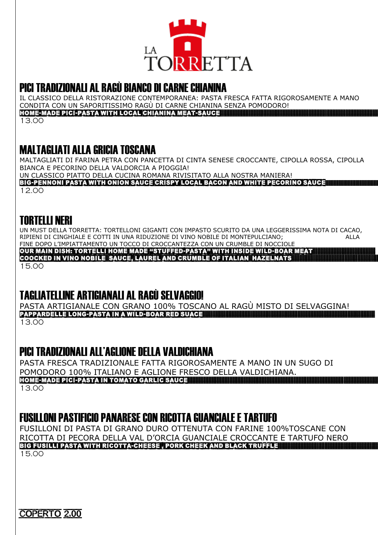

#### PICI TRADIZIONALI AL RAGÙ BIANCO DI CARNE CHIANINA

IL CLASSICO DELLA RISTORAZIONE CONTEMPORANEA: PASTA FRESCA FATTA RIGOROSAMENTE A MANO CONDITA CON UN SAPORITISSIMO RAGÙ DI CARNE CHIANINA SENZA POMODORO! home-made pici-pasta with local chianina meat-sauce

13.00

#### MALTAGLIATI ALLA GRICIA TOSCANA

MALTAGLIATI DI FARINA PETRA CON PANCETTA DI CINTA SENESE CROCCANTE, CIPOLLA ROSSA, CIPOLLA BIANCA E PECORINO DELLA VALDORCIA A PIOGGIA! UN CLASSICO PIATTO DELLA CUCINA ROMANA RIVISITATO ALLA NOSTRA MANIERA!

big-pennoni pasta with onion sauce crispy local bacon and white pecorino sauce

12.00

#### TORTELLI NERI

UN MUST DELLA TORRETTA: TORTELLONI GIGANTI CON IMPASTO SCURITO DA UNA LEGGERISSIMA NOTA DI CACAO, RIPIENI DI CINGHIALE E COTTI IN UNA RIDUZIONE DI VINO NOBILE DI MONTEPULCIANO; ALLA FINE DOPO L'IMPIATTAMENTO UN TOCCO DI CROCCANTEZZA CON UN CRUMBLE DI NOCCIOLE

OUR MAIN DISH: tortelli HOME MADE "stuffed-pasta" with inside wild-boar meat

COOCKED IN vino nobile sauce, laurel and CRUMBLE OF ITALIAN HAZELNATS 15.00

## TAGLIATELLINE ARTIGIANALI AL RAGÙ SELVAGGIO!

PASTA ARTIGIANALE CON GRANO 100% TOSCANO AL RAGÙ MISTO DI SELVAGGINA! pappardelle long-pasta in a wild-boar red suace 13.00

#### PICI TRADIZIONALI ALL'AGLIONE DELLA VALDICHIANA

PASTA FRESCA TRADIZIONALE FATTA RIGOROSAMENTE A MANO IN UN SUGO DI POMODORO 100% ITALIANO E AGLIONE FRESCO DELLA VALDICHIANA. home-made pici-pasta in tomato garlic sauce 13.00

#### FUSILLONI PASTIFICIO PANARESE CON RICOTTA GUANCIALE E TARTUFO

FUSILLONI DI PASTA DI GRANO DURO OTTENUTA CON FARINE 100%TOSCANE CON RICOTTA DI PECORA DELLA VAL D'ORCIA GUANCIALE CROCCANTE E TARTUFO NERO big fusilli pasta with ricotta-cheese , pork cheek and black truffle 15.00

coperto 2,00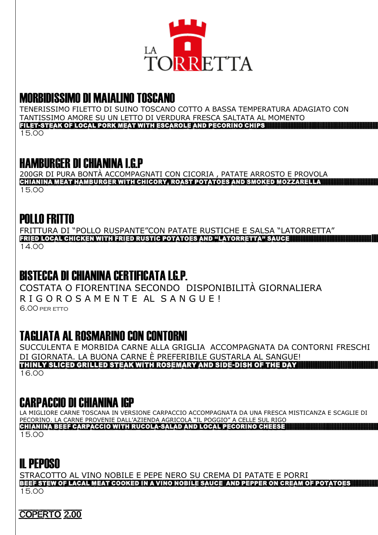

# **MORBIDISSIMO DI MAIALINO TOSCANO**

TENERISSIMO FILETTO DI SUINO TOSCANO COTTO A BASSA TEMPERATURA ADAGIATO CON TANTISSIMO AMORE SU UN LETTO DI VERDURA FRESCA SALTATA AL MOMENTO FILET-STEAK OF LOCAL PORK MEAT WITH ESCAROLE AND PECORINO CHIPS

15.00

## **HAMBURGER DI CHIANINA LG P**

200GR DI PURA BONTÀ ACCOMPAGNATI CON CICORIA, PATATE ARROSTO E PROVOLA CHIANINA MEAT HAMBURGER WITH CHICORY, ROAST POTATOES AND SMOKED MOZZARELLA 15.00

# **POLLO FRITTO**

FRITTURA DI "POLLO RUSPANTE"CON PATATE RUSTICHE E SALSA "LATORRETTA" FRIED LOCAL CHICKEN WITH FRIED RUSTIC POTATOES AND "LATORRETTA" SAUCE 14.00

# **BISTECCA DI CHIANINA CERTIFICATA LG.P.**

COSTATA O FIORENTINA SECONDO DISPONIBILITÀ GIORNALIERA RIGOROSAMENTE AL SANGUE! 6.00 PER ETTO

# **TAGLIATA AL ROSMARINO CON CONTORNI**

SUCCULENTA E MORBIDA CARNE ALLA GRIGLIA ACCOMPAGNATA DA CONTORNI FRESCHI DI GIORNATA. LA BUONA CARNE È PREFERIBILE GUSTARLA AL SANGUE! THINLY SLICED GRILLED STEAK WITH ROSEMARY AND SIDE-DISH OF THE DAY 16.00

## **CARPACCIO DI CHIANINA IGP**

LA MIGLIORE CARNE TOSCANA IN VERSIONE CARPACCIO ACCOMPAGNATA DA UNA FRESCA MISTICANZA E SCAGLIE DI PECORINO. LA CARNE PROVENIE DALL'AZIENDA AGRICOLA "IL POGGIO" A CELLE SUL RIGO CHIANINA BEEF CARPACCIO WITH RUCOLA-SALAD AND LOCAL PECORINO CHEESE 15.00

# **II PFPNSN**

STRACOTTO AL VINO NOBILE E PEPE NERO SU CREMA DI PATATE E PORRI BEEF STEW OF LACAL MEAT COOKED IN A VINO NOBILE SAUCE AND PEPPER ON CREAM OF POTATOES 15.00

**COPERTO 2,00**